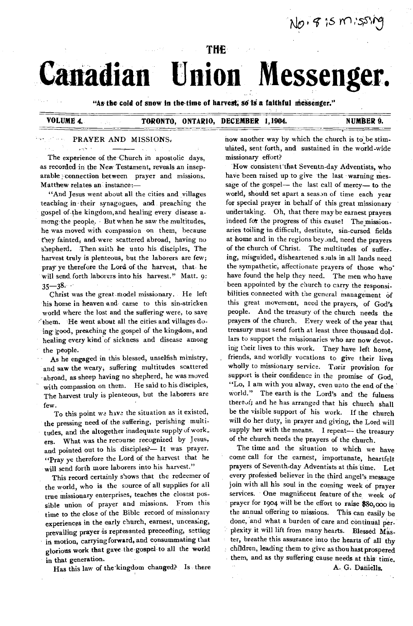No. 815 m.55

# **THE Canadian Union Messenger.**

**"As,the cold of snow in the-time of harvest, so is a faithful Messenger."** 

والمهري

### **VOLUME 4. TORONTO, ONTARIO, DECEMBER 1,1904. NUMBER 9.**

#### PRAYER AND MISSIONS,

The experience of the Church in apostolic days, as recorded in the New Testament, reveals an inseparable connection between prayer and missions. Matthew relates an instance:—

"And Jesus went about all the cities and villages teaching in their synagogues, and preaching the gospel of the kingdom,and healing every disease among the people.  $\cdot$  But when he saw the multitudes, he was moved with- compassion on them, because they fainted, and were scattered abroad, having no shepherd. Then saith he unto his disciples, The harvest truly is plenteous, but the laborers are few; pray ye therefore the Lord of the harvest, that. he pray ye therefore the Lord of the harvest, that he<br>will send forth laborers into his harvest." Matt. 9:<br>35—38.<br>Christ was the great model missionary. He left

Christ was the great model missionary. He left his home in heaven and came to this sin-stricken world where the lost and the suffering were, to save 'them. He Went about all the cities and villages doing good, preaching the gospel of the kingdom, and healing every kind of sickness and disease among the people.

As he engaged in this blessed, unselfish ministry, and saw the weary, suffering multitudes scattered .abroad, as sheep having no shepherd, he was moved with compassion on them. He said to his disciples, The harvest truly is plenteous, but the laborers are few.

To this point we have the situation as it existed, the pressing need of the suffering, perishing multitudes, and the altogether inadequate supply of work\_ ers. What was the recourse recognized by Jesus, and pointed out to his disciples?— It was prayer. "Pray ye therefore the Lord of the harvest that he will send forth more laborers into his harvest."

This record certainly shows that the redeemer of the world, who is the source of all supplies for all true missionary enterprises, teaches the closest possible union of prayer and missions. From this time to the close of the Bible record of missionary experiences in the early church, earnest, unceasing, prevailing prayer is represented preceeding, setting in motion, carrying forward, and consummating that glorious work that gave the gospel to all the world in that generation.

Has this law of the kingdom changed? Is there

now another way by which the church is to be stimulated, sent forth, and sustained in the world-wide missionary effort?

How consistent 'that Seventh-day Adventists, who have been raised up to give the last warning message of the gospel— the last call of mercy— to the world, should set apart a season of time each year for special prayer in behalf of this great missionary undertaking. Oh, that there may be earnest prayers indeed for the progress of this cause! The missionaries toiling in difficult, destitute, sin-cursed fields at home and in the regions beyond, need the prayers of the church of Christ. The multitudes of suffering, misguided, disheartened souls in all Iands need the sympathetic, affectionate prayers of those who' have found the help they need. The men who have been appointed by the church to carry the responsibilities connected with the general management of this great movement, need the prayers, of God's people. And the treasury of the church needs the prayers of the church. Every week of the year that treasury must send forth at least three thousand dollars to support the missionaries who are now devoting their lives to this work. They have left home, friends, and worldly vocations to give their lives wholly to missionary service. Their provision for support is their confidence in the promise of God, "Lo, I am with you alway, even unto the end of the • world." The earth is the Lord's and the fulness thereof; and he has arranged that his church shall be the visible support of his work. If the church will do her duty, in prayer and giving, the Lord will supply her with the means. I repeat— the treasury of the church needs the prayers of the church.

The time and the situation to which we have come call for the earnest, importunate, heartfelt prayers of Seventh-day Adventists at this time. Let every professed believer in the third angel's message join with all his soul in the coming week of prayer services. One magnificent feature of the week of prayer for 1904 will be the effort to raise \$80,000 in the annual offering to missions. This can easily be done, and what a burden of care and continual perplexity it will lift from many hearts. Blessed Master, breathe this assurance into the hearts of all thy children, leading them to give as thou hast prospered them, and as thy suffering cause needs at this time.

A. G. Dahiells.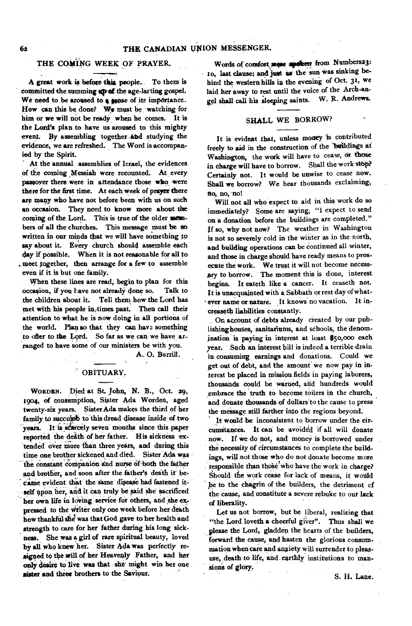# **THE COMING WEEK OF PRAYER.**

**A great work is before this people. To them is committed the summing up-of the age-lasting gospel.**  We need to be aroused to a sense of its importance. **How can this be done? We must be watching for him or we will not be ready when he comes. It is the Lord's plan to have us aroused to this mighty event. By assembling together \_and studying the evidence, we are refreshed. The Word is accompanied by the Spirit.** 

**At the annual assemblies of Israel, the evidences**  of the coming Messiah were recounted. At every **passoyer there were in attendance those who were there for the first time. At each week of prayer there are many who have not before been with us on such an occasion. They need to know more about the**  coming of the Lord. This is true of the older mem**bers of all the churches. This message must be so written in our minds that we will have something to say about it. Every church should assemble each day if possible. When it is not reasonable for all to . meet together, then arrange for a few to assemble even if it is but one family.** 

**When these lines are read, begin to plan for this occasion, if you Lave not already done so. Talk to**  the children about it. Tell them how the Lord has **met with his people in,times past. Then call their attention to what he is now doing in all portions of the world. Plan so that they can have something**  to ofter to the Lord. So far as we can we have ar**ranged to have some of our ministers be with you.** 

**A. 0. Burrill.** 

# **OBITUARY.**

**WORDEN. Died at St. John, N. B., Oct. 29, 1904, of consumption, Sister Ada Worden, aged twenty-six years. Sister Ada makes the third of her family to succumb to this dread disease inside of two**  years. It is scarcely seven months since this paper reported the death of her father. His sickness ex**tended over more** *than* **three years, and during this time one brOther Sickenedand died. Sister Ada was**  the constant companion and nurse of both the father **and brother, and soon after the father's death it' be**came evident that the same disease had fastened itself upon her, and it can truly be said she sacrificed **her own life in loving service for others, and she ex. pressed to the Writer only one week before her death**  how thankful she was that God gave to her health and **strength to care for her father during his long sickness. She was a girl of rare spiritual beauty, loved**  by all who knew her. Sister Ada was perfectly re**signed to the will of her Heavenly Father, and her only desire to live was that she might win her one**  sister and three brothers to the Saviour.

Words of comfort were speaker from Numbers23: **- to, last clause; and just as' the sun was sinking behind the western hills in the evening of Oct. 31, we laid her away to rest until the voice of the Arch-angel shall call his Sleeping saints. W. R. Andrews.** 

# **SHALL WE BORROW?**

**It is evident that, unless money is contributed freely to aid in the construction of the buildings at Washington, the work will have to cease, or those in charge will have to borrow. Shall the work stop? Certainly not. It would be unwise to cease now. Shall we borrow? We hear thousands exclaiming; no, no, -no!** 

**Will not all who expect to aid in this work do so immediately? Some are saying, "1 expect to send on a donation before the buildings are completed." If so, why not now? The weather in Washington is not so severely cold in the winter** *as* **in the north, and building operations can be continued all winter, and those in charge should have ready** *means* **to prosecute the work. We trust it will not become necessary to borrow.. The moment this is done, interest begins. It eateth like a cancer. It ceaseth not. It is unacquainted with a Sabbath or rest day of what** ever name or nature. It knows no vacation. It in**creaseth liabilities constantly.** 

**On account of debts already created by our pub**lishing houses, sanitariums, and schools, the denom**ination is paying in interest at least \$5o,00o each year. Such an interest bill is indeed a terrible drain in consuming earnings and donations. Could we get out of debt, and the amount' we now pay in interest be placed in mission fields in paying laborers,**  thousands could be warned, and hundreds would **embrace the 'truth to become toilers in the church, and donate thousands of dollars'to the cause to press the message still farther into the regions beyond.** 

**It would be inconsistent to borrow under the cir**cumstances. It can be avoided if all will donate **now. If we do not, and money is borrowed under the necessity of circumstances to complete the buildings, will not those who do not donate become more**  responsible than those who have the work in charge? **Should the work cease for lack of means, it would be to the chagrin of the builders, the detriment of the cause, and constitute a severe rebuke to our lack of liberality.** 

**Let us not borrow, but be liberal, realizing that "the Lord loveth a cheerful giver". Thus shall we please the Lord, gladden the hearts of the builders, forward the cause, and hasten the glorious consummation when care and anxiety will surrender to pleas**ure, death to life, and earthly institutions to man**sions of glory.**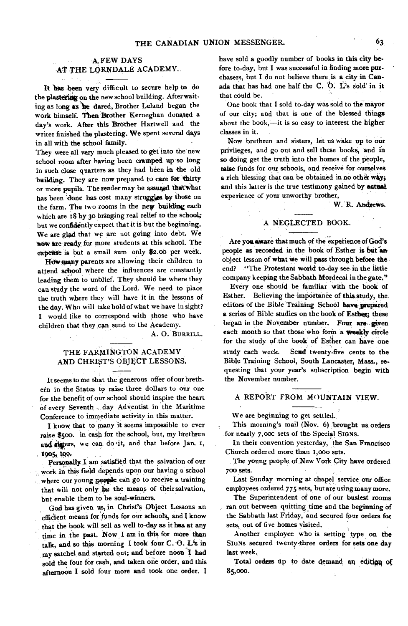#### **A, FEW DAYS AT THE LORNDALE ACADEMY.**

**It has been very difficult to secure help to do**  the plastering on the new school building. After wait**ing as long as 'le dared, Brother Leland began the work himself. Then Brother Kemeghan donated a day's work. After this Brother Hartwell and the writer finished the plastering. We spent several days in all with the school family.** 

**They were all** *very* **much pleased to get into the new school room after having been cramped up so long in such close quarters as they had been in the old building. They are now prepared to care for thirty**  or more pupils. The reader may be assured that what **has been done has cost many struggles by those on the farm. The two rooms in the new building each which are 58 by 30 bringing real relief to the school; but we confidently expect that it is but the beginning. We are glad that we are not going into debt. We now are ready for more, students at this school. The**  expense is but a small sum only \$2.00 per week.

**11downiarty parents are allowing their children to attend sebool where the influences are constantly leading them to unblief. They should be where they can study the word of the Lord. We need to place the truth where they will have it in the lessons of the day. Who will take hold of what we have in sight? I would like to correspond with those who have children that they can send to the Academy.** 

**A. 0. BURRILL.** 

#### **THE FARMINGTON ACADEMY AND CHRIST'S OBJECT LESSONS.**

**It seems to me that the generous offer of our breth. ern in the States to raise three dollars to our one for the benefit of our school should inspire the heart of every Seventh - day Adventist in the Maritime Conference to immediate activity in this matter.** 

**I know that to many it seems impossible to ever raise \$500. in cash for the school, but, my brethren**  and sisters, we can do it, and that before Jan. 1, 1905, too.

**Personally**.**I am satisfied that the salvation of our work in this field depends upon our having a school where our young people can go to receive a training that will not only** *Se* **the means of their salvation, but enable them to be soul-winners.** 

**God has given us, in Christ's Object Lessons an efficient means for funds for our schools, and I know that the book will sell as well to-day as it has at any time in the past. Now I am in this for more than talk, and so this morning I took four C. 0. L's in**  my satchel and started out; and before noon I had **sold the four for cash, and taken one order, and this afternoon I sold four more and took one order. I**  **have sold a goodly number of books in this city be**fore to-day, but I was successful in finding more pur**chasers, but I do not believe there is a city in Can**ada that has had one half the C. O. L's sold in it **that could be.** 

**One book that I sold to-day was sold to the mayor of our city; and that is one of the blessed things about the book,—it is so easy to interest the higher classes in it.** 

**Now brethren and sisters, let us wake up to our privileges, and go out and sell these books, and in so doing get the truth into the homes of the people, raise funds for our schools, and receive for ourselves a rich blessing that can be obtained in no other way;**  and this latter is the true testimony gained by actual **experience of your unworthy brother,** 

**W. R. Andrews.** 

#### A NEGLECTED BOOK.

Are you aware that much of the experience of God's people as recorded in the book of Esther is but an **object lesson of what we will pass through before the** . **end? "The Protestant world to-day see in the little company keeping the Sabbath Mordecai in the gate."** 

**Every one should be familiar with the book of Esther. Believing the importance of this.study, the, editors of the Bible Training School have prepared**  a series of Bible studies on the book of Esther; these **began in the November number. Four are, given each month so that those who form a weekly circle for the study of the book of Esther can have one study each week. Send twenty-five cents to the Bible Training School, South Lancaster, Mass., requesting that your year's subscription begin with the November number.** 

## **A REPORT FROM MOUNTAIN VIEW.**

**We are beginning to get settled.** 

**This morning's mail (Nov. 6) brought us orders for nearly 7,0oc sets of the Special SIGNS.** 

**In their convention yesterday, the San Francisco Church ordered more than 5,000 sets.** 

**The young people of New York City have ordered 700 sets.** 

**Last Sunday morning at chapel service our office employees ordered 775 sets, but are using many more.** 

**The Superintendent of one of our busiest rooms ran out between quitting time and the beginning of the Sabbath last Friday, and secured four orders for sets, out of five homes visited.** 

**Another employee who is setting type on the**  SIGNs secured twenty-three orders for sets one day **last week.** 

Total orders up to date demand an edition of **85000.**